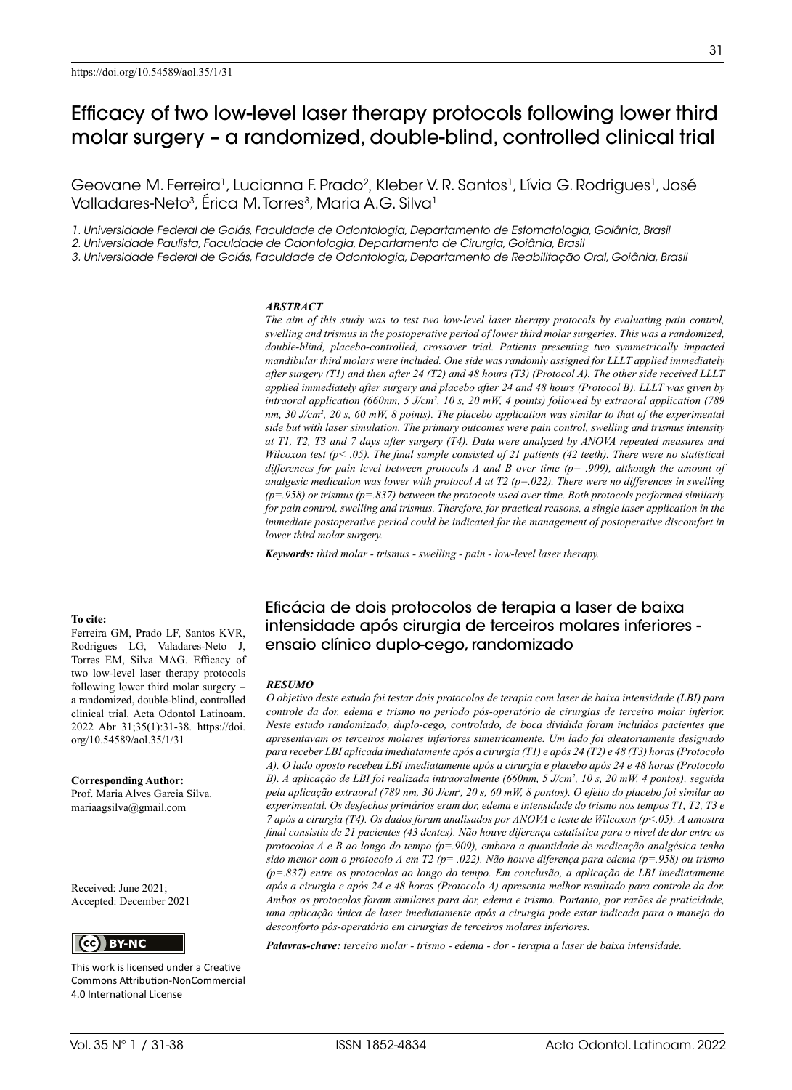Geovane M. Ferreira<sup>1</sup>, Lucianna F. Prado<sup>2</sup>, Kleber V. R. Santos<sup>1</sup>, Lívia G. Rodrigues<sup>1</sup>, José Valladares-Neto<sup>3</sup>, Érica M. Torres<sup>3</sup>, Maria A.G. Silva<sup>1</sup>

*1. Universidade Federal de Goiás, Faculdade de Odontologia, Departamento de Estomatologia, Goiânia, Brasil*

*2. Universidade Paulista, Faculdade de Odontologia, Departamento de Cirurgia, Goiânia, Brasil*

*3. Universidade Federal de Goiás, Faculdade de Odontologia, Departamento de Reabilitação Oral, Goiânia, Brasil*

#### *ABSTRACT*

*The aim of this study was to test two low-level laser therapy protocols by evaluating pain control, swelling and trismus in the postoperative period of lower third molar surgeries. This was a randomized, double-blind, placebo-controlled, crossover trial. Patients presenting two symmetrically impacted mandibular third molars were included. One side was randomly assigned for LLLT applied immediately after surgery (T1) and then after 24 (T2) and 48 hours (T3) (Protocol A). The other side received LLLT applied immediately after surgery and placebo after 24 and 48 hours (Protocol B). LLLT was given by intraoral application (660nm, 5 J/cm<sup>2</sup> , 10 s, 20 mW, 4 points) followed by extraoral application (789 nm, 30 J/cm<sup>2</sup> , 20 s, 60 mW, 8 points). The placebo application was similar to that of the experimental side but with laser simulation. The primary outcomes were pain control, swelling and trismus intensity at T1, T2, T3 and 7 days after surgery (T4). Data were analyzed by ANOVA repeated measures and Wilcoxon test (p< .05). The final sample consisted of 21 patients (42 teeth). There were no statistical differences for pain level between protocols A and B over time (p= .909), although the amount of analgesic medication was lower with protocol A at T2 (p=.022). There were no differences in swelling (p=.958) or trismus (p=.837) between the protocols used over time. Both protocols performed similarly for pain control, swelling and trismus. Therefore, for practical reasons, a single laser application in the immediate postoperative period could be indicated for the management of postoperative discomfort in lower third molar surgery.* 

*Keywords: third molar - trismus - swelling - pain - low-level laser therapy.*

**To cite:**

Ferreira GM, Prado LF, Santos KVR, Rodrigues LG, Valadares-Neto J, Torres EM, Silva MAG. Efficacy of two low-level laser therapy protocols following lower third molar surgery – a randomized, double-blind, controlled clinical trial. Acta Odontol Latinoam. 2022 Abr 31;35(1):31-38. https://doi. org/10.54589/aol.35/1/31

**Corresponding Author:** Prof. Maria Alves Garcia Silva. mariaagsilva@gmail.com

Received: June 2021; Accepted: December 2021



This work is licensed under a Creative Commons Attribution-NonCommercial 4.0 International License

Eficácia de dois protocolos de terapia a laser de baixa intensidade após cirurgia de terceiros molares inferiores ensaio clínico duplo-cego, randomizado

#### *RESUMO*

*O objetivo deste estudo foi testar dois protocolos de terapia com laser de baixa intensidade (LBI) para controle da dor, edema e trismo no período pós-operatório de cirurgias de terceiro molar inferior. Neste estudo randomizado, duplo-cego, controlado, de boca dividida foram incluídos pacientes que apresentavam os terceiros molares inferiores simetricamente. Um lado foi aleatoriamente designado para receber LBI aplicada imediatamente após a cirurgia (T1) e após 24 (T2) e 48 (T3) horas (Protocolo A). O lado oposto recebeu LBI imediatamente após a cirurgia e placebo após 24 e 48 horas (Protocolo B). A aplicação de LBI foi realizada intraoralmente (660nm, 5 J/cm<sup>2</sup> , 10 s, 20 mW, 4 pontos), seguida pela aplicação extraoral (789 nm, 30 J/cm<sup>2</sup> , 20 s, 60 mW, 8 pontos). O efeito do placebo foi similar ao experimental. Os desfechos primários eram dor, edema e intensidade do trismo nos tempos T1, T2, T3 e 7 após a cirurgia (T4). Os dados foram analisados por ANOVA e teste de Wilcoxon (p<.05). A amostra final consistiu de 21 pacientes (43 dentes). Não houve diferença estatística para o nível de dor entre os protocolos A e B ao longo do tempo (p=.909), embora a quantidade de medicação analgésica tenha sido menor com o protocolo A em T2 (p= .022). Não houve diferença para edema (p=.958) ou trismo (p=.837) entre os protocolos ao longo do tempo. Em conclusão, a aplicação de LBI imediatamente após a cirurgia e após 24 e 48 horas (Protocolo A) apresenta melhor resultado para controle da dor. Ambos os protocolos foram similares para dor, edema e trismo. Portanto, por razões de praticidade, uma aplicação única de laser imediatamente após a cirurgia pode estar indicada para o manejo do desconforto pós-operatório em cirurgias de terceiros molares inferiores.* 

*Palavras-chave: terceiro molar - trismo - edema - dor - terapia a laser de baixa intensidade.*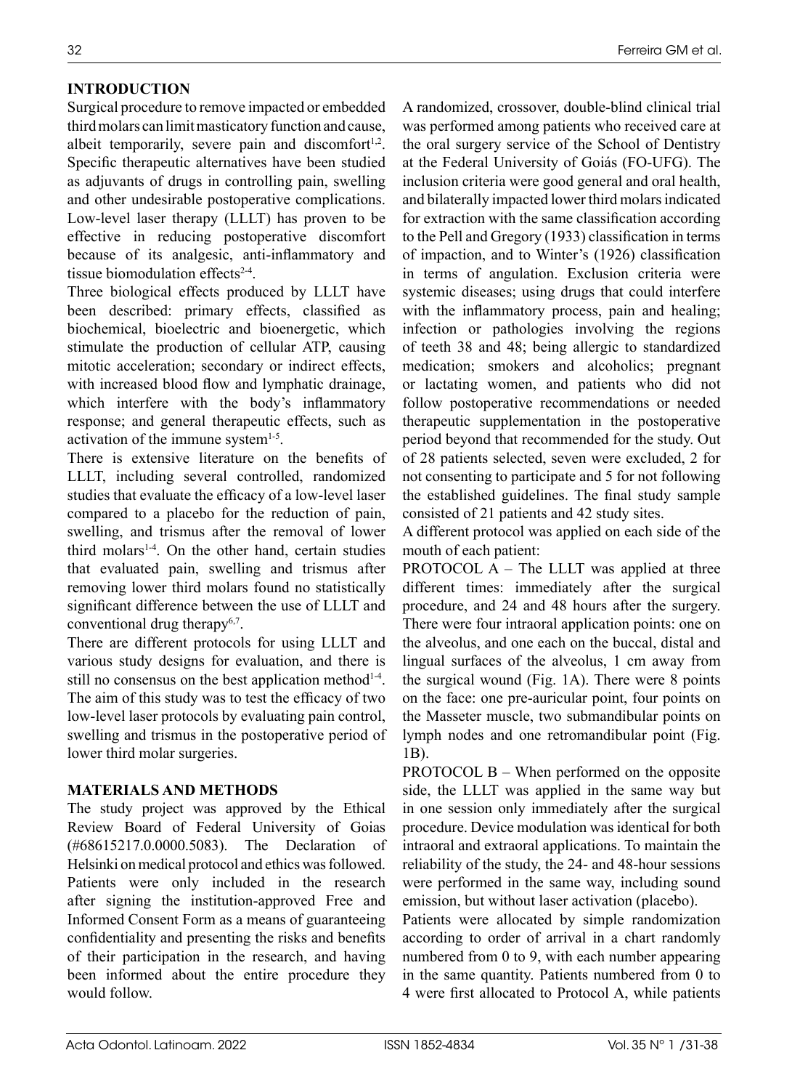### **INTRODUCTION**

Surgical procedure to remove impacted or embedded third molars can limit masticatory function and cause, albeit temporarily, severe pain and discomfort $1,2$ . Specific therapeutic alternatives have been studied as adjuvants of drugs in controlling pain, swelling and other undesirable postoperative complications. Low-level laser therapy (LLLT) has proven to be effective in reducing postoperative discomfort because of its analgesic, anti-inflammatory and tissue biomodulation effects<sup>2-4</sup>.

Three biological effects produced by LLLT have been described: primary effects, classified as biochemical, bioelectric and bioenergetic, which stimulate the production of cellular ATP, causing mitotic acceleration; secondary or indirect effects, with increased blood flow and lymphatic drainage, which interfere with the body's inflammatory response; and general therapeutic effects, such as activation of the immune system<sup>1-5</sup>.

There is extensive literature on the benefits of LLLT, including several controlled, randomized studies that evaluate the efficacy of a low-level laser compared to a placebo for the reduction of pain, swelling, and trismus after the removal of lower third molars<sup>1-4</sup>. On the other hand, certain studies that evaluated pain, swelling and trismus after removing lower third molars found no statistically significant difference between the use of LLLT and conventional drug therapy<sup>6,7</sup>.

There are different protocols for using LLLT and various study designs for evaluation, and there is still no consensus on the best application method $14$ . The aim of this study was to test the efficacy of two low-level laser protocols by evaluating pain control, swelling and trismus in the postoperative period of lower third molar surgeries.

### **MATERIALS AND METHODS**

The study project was approved by the Ethical Review Board of Federal University of Goias (#68615217.0.0000.5083). The Declaration of Helsinki on medical protocol and ethics was followed. Patients were only included in the research after signing the institution-approved Free and Informed Consent Form as a means of guaranteeing confidentiality and presenting the risks and benefits of their participation in the research, and having been informed about the entire procedure they would follow.

A randomized, crossover, double-blind clinical trial was performed among patients who received care at the oral surgery service of the School of Dentistry at the Federal University of Goiás (FO-UFG). The inclusion criteria were good general and oral health, and bilaterally impacted lower third molars indicated for extraction with the same classification according to the Pell and Gregory (1933) classification in terms of impaction, and to Winter's (1926) classification in terms of angulation. Exclusion criteria were systemic diseases; using drugs that could interfere with the inflammatory process, pain and healing; infection or pathologies involving the regions of teeth 38 and 48; being allergic to standardized medication; smokers and alcoholics; pregnant or lactating women, and patients who did not follow postoperative recommendations or needed therapeutic supplementation in the postoperative period beyond that recommended for the study. Out of 28 patients selected, seven were excluded, 2 for not consenting to participate and 5 for not following the established guidelines. The final study sample consisted of 21 patients and 42 study sites.

A different protocol was applied on each side of the mouth of each patient:

PROTOCOL A – The LLLT was applied at three different times: immediately after the surgical procedure, and 24 and 48 hours after the surgery. There were four intraoral application points: one on the alveolus, and one each on the buccal, distal and lingual surfaces of the alveolus, 1 cm away from the surgical wound (Fig. 1A). There were 8 points on the face: one pre-auricular point, four points on the Masseter muscle, two submandibular points on lymph nodes and one retromandibular point (Fig. 1B).

PROTOCOL B – When performed on the opposite side, the LLLT was applied in the same way but in one session only immediately after the surgical procedure. Device modulation was identical for both intraoral and extraoral applications. To maintain the reliability of the study, the 24- and 48-hour sessions were performed in the same way, including sound emission, but without laser activation (placebo).

Patients were allocated by simple randomization according to order of arrival in a chart randomly numbered from 0 to 9, with each number appearing in the same quantity. Patients numbered from 0 to 4 were first allocated to Protocol A, while patients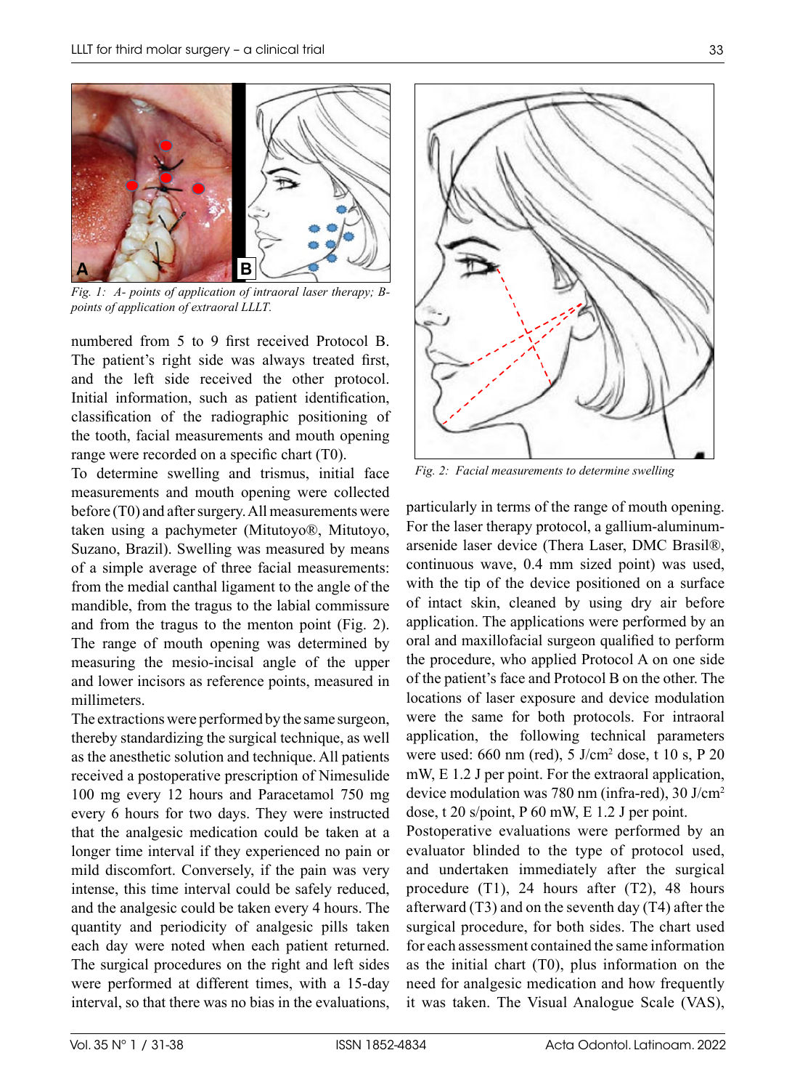

*Fig. 1: A- points of application of intraoral laser therapy; Bpoints of application of extraoral LLLT.*

numbered from 5 to 9 first received Protocol B. The patient's right side was always treated first, and the left side received the other protocol. Initial information, such as patient identification, classification of the radiographic positioning of the tooth, facial measurements and mouth opening range were recorded on a specific chart (T0).

To determine swelling and trismus, initial face measurements and mouth opening were collected before (T0) and after surgery. All measurements were taken using a pachymeter (Mitutoyo®, Mitutoyo, Suzano, Brazil). Swelling was measured by means of a simple average of three facial measurements: from the medial canthal ligament to the angle of the mandible, from the tragus to the labial commissure and from the tragus to the menton point (Fig. 2). The range of mouth opening was determined by measuring the mesio-incisal angle of the upper and lower incisors as reference points, measured in millimeters.

The extractions were performed by the same surgeon, thereby standardizing the surgical technique, as well as the anesthetic solution and technique. All patients received a postoperative prescription of Nimesulide 100 mg every 12 hours and Paracetamol 750 mg every 6 hours for two days. They were instructed that the analgesic medication could be taken at a longer time interval if they experienced no pain or mild discomfort. Conversely, if the pain was very intense, this time interval could be safely reduced, and the analgesic could be taken every 4 hours. The quantity and periodicity of analgesic pills taken each day were noted when each patient returned. The surgical procedures on the right and left sides were performed at different times, with a 15-day interval, so that there was no bias in the evaluations,



*Fig. 2: Facial measurements to determine swelling*

particularly in terms of the range of mouth opening. For the laser therapy protocol, a gallium-aluminumarsenide laser device (Thera Laser, DMC Brasil®, continuous wave, 0.4 mm sized point) was used, with the tip of the device positioned on a surface of intact skin, cleaned by using dry air before application. The applications were performed by an oral and maxillofacial surgeon qualified to perform the procedure, who applied Protocol A on one side of the patient's face and Protocol B on the other. The locations of laser exposure and device modulation were the same for both protocols. For intraoral application, the following technical parameters were used: 660 nm (red), 5 J/cm2 dose, t 10 s, P 20 mW, E 1.2 J per point. For the extraoral application, device modulation was 780 nm (infra-red), 30 J/cm2 dose, t 20 s/point, P 60 mW, E 1.2 J per point.

Postoperative evaluations were performed by an evaluator blinded to the type of protocol used, and undertaken immediately after the surgical procedure (T1), 24 hours after (T2), 48 hours afterward (T3) and on the seventh day (T4) after the surgical procedure, for both sides. The chart used for each assessment contained the same information as the initial chart (T0), plus information on the need for analgesic medication and how frequently it was taken. The Visual Analogue Scale (VAS),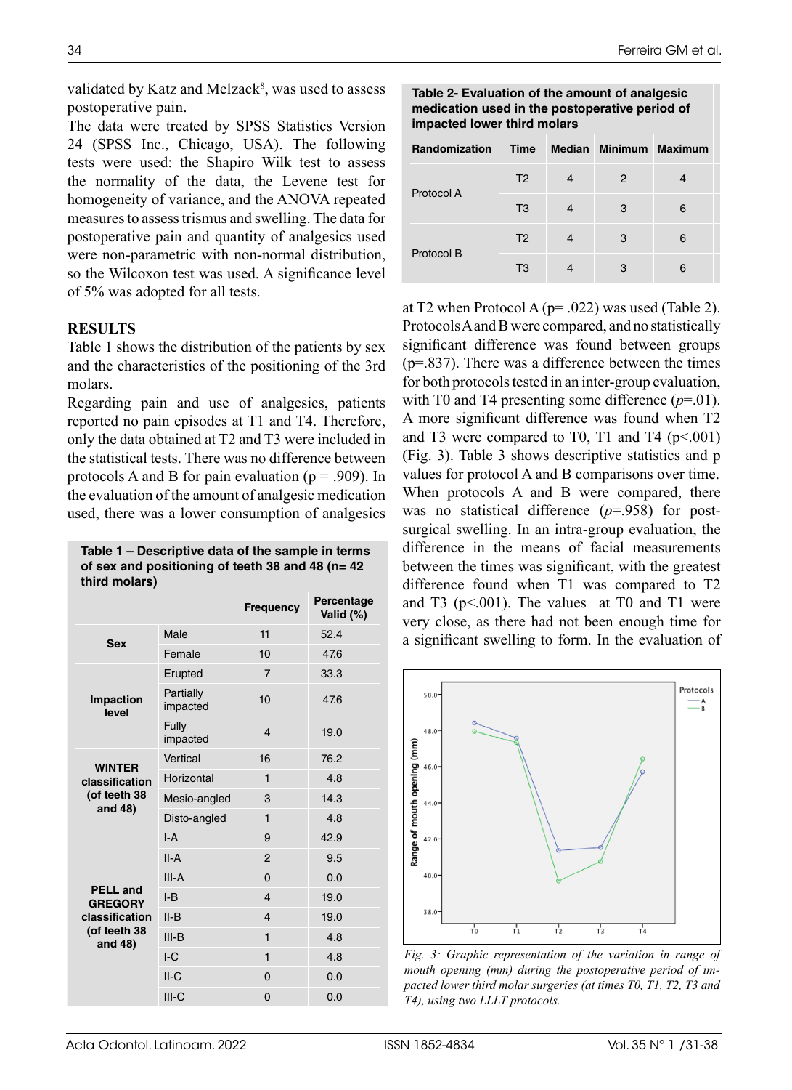validated by Katz and Melzack<sup>8</sup>, was used to assess postoperative pain.

The data were treated by SPSS Statistics Version 24 (SPSS Inc., Chicago, USA). The following tests were used: the Shapiro Wilk test to assess the normality of the data, the Levene test for homogeneity of variance, and the ANOVA repeated measures to assess trismus and swelling. The data for postoperative pain and quantity of analgesics used were non-parametric with non-normal distribution, so the Wilcoxon test was used. A significance level of 5% was adopted for all tests.

# **RESULTS**

Table 1 shows the distribution of the patients by sex and the characteristics of the positioning of the 3rd molars.

Regarding pain and use of analgesics, patients reported no pain episodes at T1 and T4. Therefore, only the data obtained at T2 and T3 were included in the statistical tests. There was no difference between protocols A and B for pain evaluation ( $p = .909$ ). In the evaluation of the amount of analgesic medication used, there was a lower consumption of analgesics

**Table 1 – Descriptive data of the sample in terms of sex and positioning of teeth 38 and 48 (n= 42 third molars)**

|                                   |                       | <b>Frequency</b>        | Percentage<br>Valid (%) |
|-----------------------------------|-----------------------|-------------------------|-------------------------|
| <b>Sex</b>                        | Male                  | 11                      | 52.4                    |
|                                   | Female                | 10                      | 47.6                    |
|                                   | Erupted               | $\overline{7}$          | 33.3                    |
| <b>Impaction</b><br>level         | Partially<br>impacted | 10                      | 47.6                    |
|                                   | Fully<br>impacted     | 4                       | 19.0                    |
| <b>WINTER</b>                     | Vertical              | 16                      | 76.2                    |
| classification                    | Horizontal            | 1                       | 4.8                     |
| (of teeth 38<br>and 48)           | Mesio-angled          | 3                       | 14.3                    |
|                                   | Disto-angled          | $\mathbf{1}$            | 4.8                     |
|                                   | $I - A$               | 9                       | 42.9                    |
|                                   | $II-A$                | $\overline{2}$          | 9.5                     |
|                                   | $III-A$               | $\Omega$                | 0.0                     |
| <b>PELL</b> and<br><b>GREGORY</b> | $I-B$                 | $\overline{\mathbf{4}}$ | 19.0                    |
| classification                    | $II-B$                | $\overline{\mathbf{4}}$ | 19.0                    |
| (of teeth 38<br>and 48)           | $III-B$               | 1                       | 4.8                     |
|                                   | IC                    | 1                       | 4.8                     |
|                                   | $II-C$                | $\Omega$                | 0.0                     |
|                                   | $III-C$               | 0                       | 0.0                     |

## Ferreira GM et al.

**Table 2- Evaluation of the amount of analgesic medication used in the postoperative period of impacted lower third molars**

| <b>Randomization</b> | <b>Time</b>    |   | Median Minimum Maximum |   |
|----------------------|----------------|---|------------------------|---|
| Protocol A           | T <sub>2</sub> | 4 | 2                      |   |
|                      | T <sub>3</sub> | 4 | 3                      | 6 |
|                      | T <sub>2</sub> | 4 | 3                      | 6 |
| Protocol B           | T <sub>3</sub> |   | 3                      | 6 |

at T2 when Protocol A ( $p = .022$ ) was used (Table 2). Protocols A and B were compared, and no statistically significant difference was found between groups (p=.837). There was a difference between the times for both protocols tested in an inter-group evaluation, with T0 and T4 presenting some difference  $(p=01)$ . A more significant difference was found when T2 and T3 were compared to T0, T1 and T4  $(p<.001)$ (Fig. 3). Table 3 shows descriptive statistics and p values for protocol A and B comparisons over time. When protocols A and B were compared, there was no statistical difference (*p*=.958) for postsurgical swelling. In an intra-group evaluation, the difference in the means of facial measurements between the times was significant, with the greatest difference found when T1 was compared to T2 and T3 ( $p<.001$ ). The values at T0 and T1 were very close, as there had not been enough time for a significant swelling to form. In the evaluation of



*Fig. 3: Graphic representation of the variation in range of mouth opening (mm) during the postoperative period of impacted lower third molar surgeries (at times T0, T1, T2, T3 and T4), using two LLLT protocols.*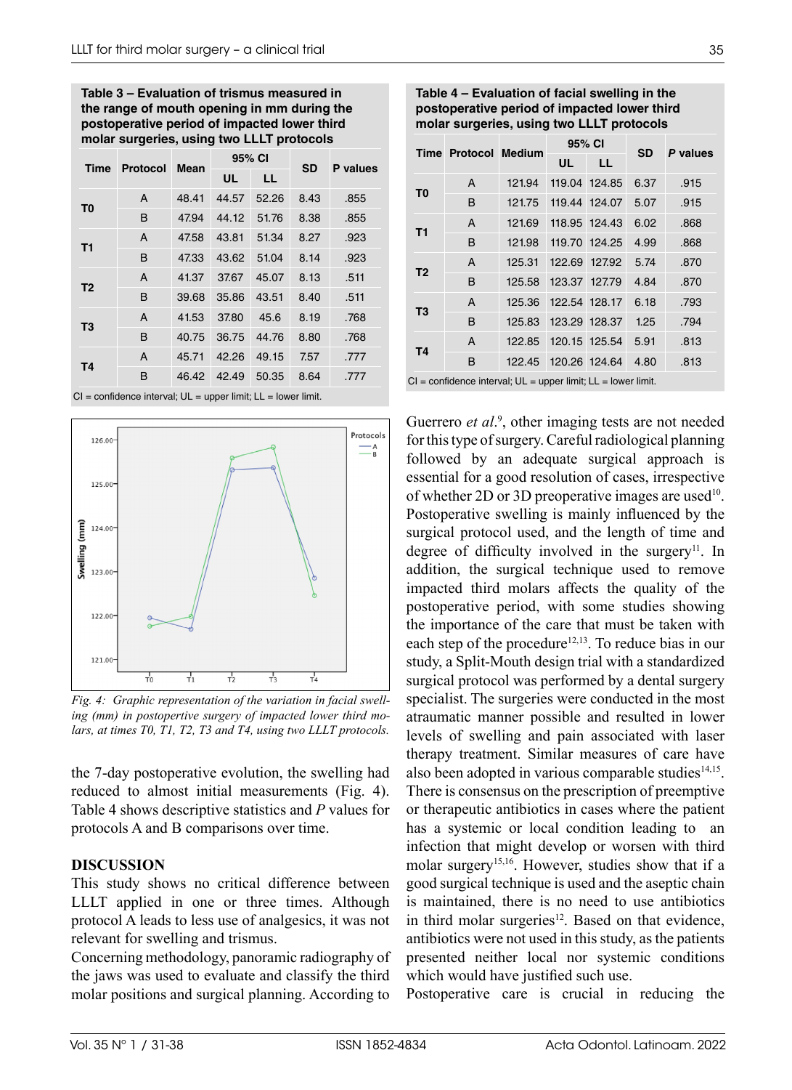**Table 3 – Evaluation of trismus measured in the range of mouth opening in mm during the postoperative period of impacted lower third molar surgeries, using two LLLT protocols**

| Time           | Protocol | Mean  | 95% CI |       | SD   | P values |
|----------------|----------|-------|--------|-------|------|----------|
|                |          |       | UL     | LL    |      |          |
| T <sub>0</sub> | A        | 48.41 | 44.57  | 52.26 | 8.43 | .855     |
|                | B        | 47.94 | 44.12  | 51.76 | 8.38 | .855     |
| <b>T1</b>      | A        | 47.58 | 43.81  | 51.34 | 8.27 | .923     |
|                | B        | 47.33 | 43.62  | 51.04 | 8.14 | .923     |
| T <sub>2</sub> | A        | 41.37 | 37.67  | 45.07 | 8.13 | .511     |
|                | B        | 39.68 | 35.86  | 43.51 | 8.40 | .511     |
| T <sub>3</sub> | A        | 41.53 | 37.80  | 45.6  | 8.19 | .768     |
|                | B        | 40.75 | 36.75  | 44.76 | 8.80 | .768     |
| Τ4             | A        | 45.71 | 42.26  | 49.15 | 7.57 | .777     |
|                | B        | 46.42 | 42.49  | 50.35 | 8.64 | .777     |

 $CI = confidence$  interval;  $UL = upper$  limit;  $LL = lower$  limit.



*Fig. 4: Graphic representation of the variation in facial swelling (mm) in postopertive surgery of impacted lower third molars, at times T0, T1, T2, T3 and T4, using two LLLT protocols.*

the 7-day postoperative evolution, the swelling had reduced to almost initial measurements (Fig. 4). Table 4 shows descriptive statistics and *P* values for protocols A and B comparisons over time.

# **DISCUSSION**

This study shows no critical difference between LLLT applied in one or three times. Although protocol A leads to less use of analgesics, it was not relevant for swelling and trismus.

Concerning methodology, panoramic radiography of the jaws was used to evaluate and classify the third molar positions and surgical planning. According to

| Table 4 – Evaluation of facial swelling in the |
|------------------------------------------------|
| postoperative period of impacted lower third   |
| molar surgeries, using two LLLT protocols      |

|                                                                                                                                                                                                                                          | <b>Time Protocol Medium</b> |        | 95% CI        |               | <b>SD</b> | P values |
|------------------------------------------------------------------------------------------------------------------------------------------------------------------------------------------------------------------------------------------|-----------------------------|--------|---------------|---------------|-----------|----------|
|                                                                                                                                                                                                                                          |                             |        | UL            | LL            |           |          |
| T <sub>0</sub>                                                                                                                                                                                                                           | A                           | 121.94 |               | 119.04 124.85 | 6.37      | .915     |
|                                                                                                                                                                                                                                          | B                           | 121.75 |               | 119.44 124.07 | 5.07      | .915     |
| T1                                                                                                                                                                                                                                       | A                           | 121.69 |               | 118.95 124.43 | 6.02      | .868     |
|                                                                                                                                                                                                                                          | B                           | 121.98 |               | 119.70 124.25 | 4.99      | .868     |
| T <sub>2</sub>                                                                                                                                                                                                                           | A                           | 125.31 | 122.69 127.92 |               | 5.74      | .870     |
|                                                                                                                                                                                                                                          | B                           | 125.58 | 123.37 127.79 |               | 4.84      | .870     |
| T <sub>3</sub>                                                                                                                                                                                                                           | A                           | 125.36 |               | 122.54 128.17 | 6.18      | .793     |
|                                                                                                                                                                                                                                          | B                           | 125.83 |               | 123.29 128.37 | 1.25      | .794     |
| <b>T4</b>                                                                                                                                                                                                                                | A                           | 122.85 |               | 120.15 125.54 | 5.91      | .813     |
|                                                                                                                                                                                                                                          | B                           | 122.45 |               | 120.26 124.64 | 4.80      | .813     |
| $\sim$<br>and a suitable of a contract of the contract of the state of the contract of the state of the state of the state of the state of the state of the state of the state of the state of the state of the state of the state of th |                             |        |               |               |           |          |

CI = confidence interval; UL = upper limit; LL = lower limit.

Guerrero *et al.*<sup>9</sup>, other imaging tests are not needed for this type of surgery. Careful radiological planning followed by an adequate surgical approach is essential for a good resolution of cases, irrespective of whether 2D or 3D preoperative images are used<sup>10</sup>. Postoperative swelling is mainly influenced by the surgical protocol used, and the length of time and degree of difficulty involved in the surgery<sup>11</sup>. In addition, the surgical technique used to remove impacted third molars affects the quality of the postoperative period, with some studies showing the importance of the care that must be taken with each step of the procedure<sup>12,13</sup>. To reduce bias in our study, a Split-Mouth design trial with a standardized surgical protocol was performed by a dental surgery specialist. The surgeries were conducted in the most atraumatic manner possible and resulted in lower levels of swelling and pain associated with laser therapy treatment. Similar measures of care have also been adopted in various comparable studies $14,15$ . There is consensus on the prescription of preemptive or therapeutic antibiotics in cases where the patient has a systemic or local condition leading to an infection that might develop or worsen with third molar surgery<sup>15,16</sup>. However, studies show that if a good surgical technique is used and the aseptic chain is maintained, there is no need to use antibiotics in third molar surgeries $12$ . Based on that evidence, antibiotics were not used in this study, as the patients presented neither local nor systemic conditions which would have justified such use.

Postoperative care is crucial in reducing the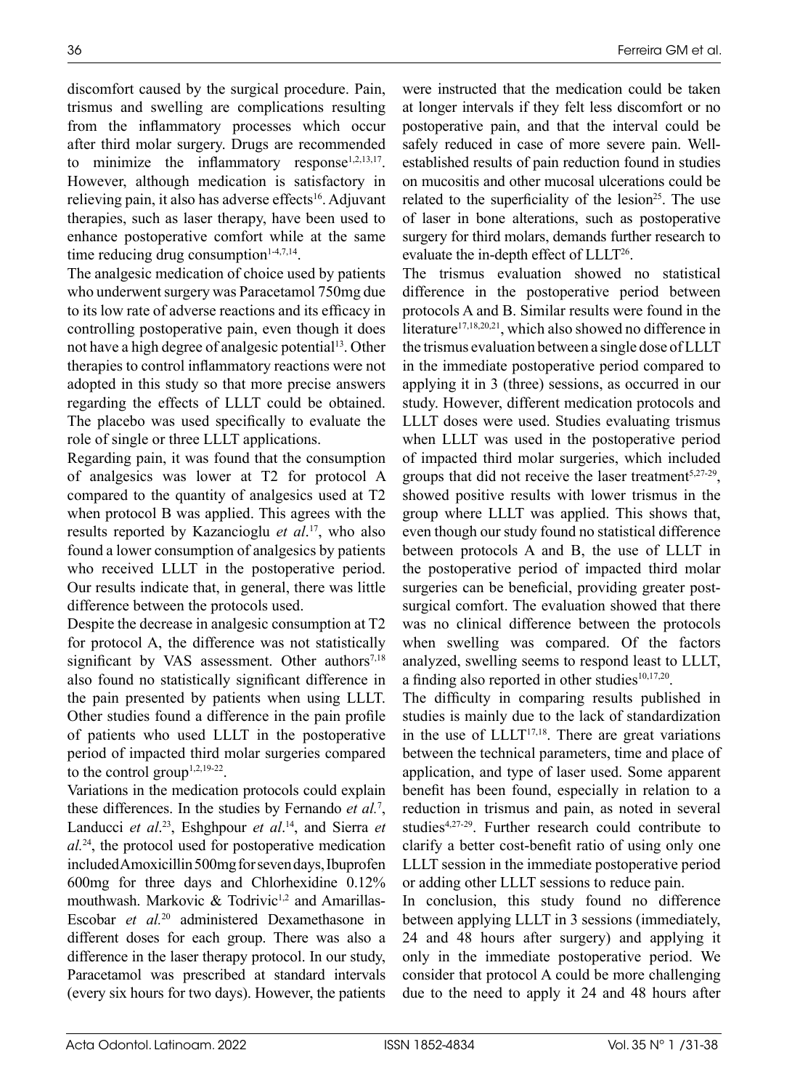discomfort caused by the surgical procedure. Pain, trismus and swelling are complications resulting from the inflammatory processes which occur after third molar surgery. Drugs are recommended to minimize the inflammatory response<sup>1,2,13,17</sup>. However, although medication is satisfactory in relieving pain, it also has adverse effects<sup>16</sup>. Adjuvant therapies, such as laser therapy, have been used to enhance postoperative comfort while at the same time reducing drug consumption $1-4,7,14$ .

The analgesic medication of choice used by patients who underwent surgery was Paracetamol 750mg due to its low rate of adverse reactions and its efficacy in controlling postoperative pain, even though it does not have a high degree of analgesic potential<sup>13</sup>. Other therapies to control inflammatory reactions were not adopted in this study so that more precise answers regarding the effects of LLLT could be obtained. The placebo was used specifically to evaluate the role of single or three LLLT applications.

Regarding pain, it was found that the consumption of analgesics was lower at T2 for protocol A compared to the quantity of analgesics used at T2 when protocol B was applied. This agrees with the results reported by Kazancioglu *et al*. 17, who also found a lower consumption of analgesics by patients who received LLLT in the postoperative period. Our results indicate that, in general, there was little difference between the protocols used.

Despite the decrease in analgesic consumption at T2 for protocol A, the difference was not statistically significant by VAS assessment. Other authors<sup>7,18</sup> also found no statistically significant difference in the pain presented by patients when using LLLT. Other studies found a difference in the pain profile of patients who used LLLT in the postoperative period of impacted third molar surgeries compared to the control group<sup> $1,2,19-22$ </sup>.

Variations in the medication protocols could explain these differences. In the studies by Fernando *et al.*<sup>7</sup> , Landucci *et al.*<sup>23</sup>, Eshghpour *et al.*<sup>14</sup>, and Sierra *et al.*24, the protocol used for postoperative medication included Amoxicillin 500mg for seven days, Ibuprofen 600mg for three days and Chlorhexidine 0.12% mouthwash. Markovic & Todrivic<sup>1,2</sup> and Amarillas-Escobar *et al.*20 administered Dexamethasone in different doses for each group. There was also a difference in the laser therapy protocol. In our study, Paracetamol was prescribed at standard intervals (every six hours for two days). However, the patients

were instructed that the medication could be taken at longer intervals if they felt less discomfort or no postoperative pain, and that the interval could be safely reduced in case of more severe pain. Wellestablished results of pain reduction found in studies on mucositis and other mucosal ulcerations could be related to the superficiality of the lesion<sup>25</sup>. The use of laser in bone alterations, such as postoperative surgery for third molars, demands further research to evaluate the in-depth effect of LLLT<sup>26</sup>.

The trismus evaluation showed no statistical difference in the postoperative period between protocols A and B. Similar results were found in the literature<sup>17,18,20,21</sup>, which also showed no difference in the trismus evaluation between a single dose of LLLT in the immediate postoperative period compared to applying it in 3 (three) sessions, as occurred in our study. However, different medication protocols and LLLT doses were used. Studies evaluating trismus when LLLT was used in the postoperative period of impacted third molar surgeries, which included groups that did not receive the laser treatment<sup>5,27-29</sup>, showed positive results with lower trismus in the group where LLLT was applied. This shows that, even though our study found no statistical difference between protocols A and B, the use of LLLT in the postoperative period of impacted third molar surgeries can be beneficial, providing greater postsurgical comfort. The evaluation showed that there was no clinical difference between the protocols when swelling was compared. Of the factors analyzed, swelling seems to respond least to LLLT, a finding also reported in other studies $10,17,20$ .

The difficulty in comparing results published in studies is mainly due to the lack of standardization in the use of  $LLLT^{17,18}$ . There are great variations between the technical parameters, time and place of application, and type of laser used. Some apparent benefit has been found, especially in relation to a reduction in trismus and pain, as noted in several studies4,27-29. Further research could contribute to clarify a better cost-benefit ratio of using only one LLLT session in the immediate postoperative period or adding other LLLT sessions to reduce pain.

In conclusion, this study found no difference between applying LLLT in 3 sessions (immediately, 24 and 48 hours after surgery) and applying it only in the immediate postoperative period. We consider that protocol A could be more challenging due to the need to apply it 24 and 48 hours after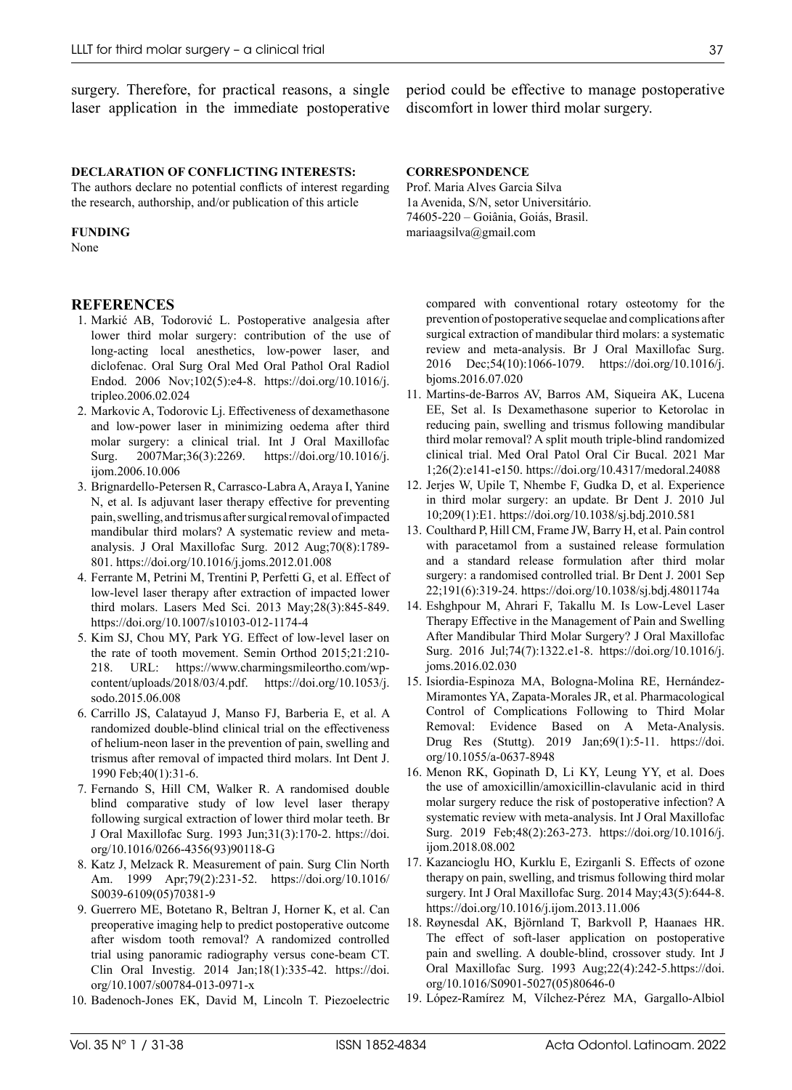surgery. Therefore, for practical reasons, a single laser application in the immediate postoperative

### **DECLARATION OF CONFLICTING INTERESTS:**

The authors declare no potential conflicts of interest regarding the research, authorship, and/or publication of this article

#### **FUNDING**

None

### **REFERENCES**

- 1. Markić AB, Todorović L. Postoperative analgesia after lower third molar surgery: contribution of the use of long-acting local anesthetics, low-power laser, and diclofenac. Oral Surg Oral Med Oral Pathol Oral Radiol Endod. 2006 Nov;102(5):e4-8[. https://doi.org/10.1016/j.](https://doi.org/10.1016/j.tripleo.2006.02.024) [tripleo.2006.02.024](https://doi.org/10.1016/j.tripleo.2006.02.024)
- 2. Markovic A, Todorovic Lj. Effectiveness of dexamethasone and low-power laser in minimizing oedema after third molar surgery: a clinical trial. Int J Oral Maxillofac Surg. 2007Mar;36(3):2269. [https://doi.org/10.1016/j.](https://doi.org/10.1016/j.ijom.2006.10.006) [ijom.2006.10.006](https://doi.org/10.1016/j.ijom.2006.10.006)
- 3. Brignardello-Petersen R, Carrasco-Labra A, Araya I, Yanine N, et al. Is adjuvant laser therapy effective for preventing pain, swelling, and trismus after surgical removal of impacted mandibular third molars? A systematic review and metaanalysis. J Oral Maxillofac Surg. 2012 Aug;70(8):1789- 801.<https://doi.org/10.1016/j.joms.2012.01.008>
- 4. Ferrante M, Petrini M, Trentini P, Perfetti G, et al. Effect of low-level laser therapy after extraction of impacted lower third molars. Lasers Med Sci. 2013 May;28(3):845-849. <https://doi.org/10.1007/s10103-012-1174-4>
- 5. Kim SJ, Chou MY, Park YG. Effect of low-level laser on the rate of tooth movement. Semin Orthod 2015;21:210- 218. URL: [https://www.charmingsmileortho.com/wp](https://www.charmingsmileortho.com/wp-content/uploads/2018/03/4.pdf)[content/uploads/2018/03/4.pdf](https://www.charmingsmileortho.com/wp-content/uploads/2018/03/4.pdf). [https://doi.org/10.1053/j.](https://doi.org/10.1053/j.sodo.2015.06.008) [sodo.2015.06.008](https://doi.org/10.1053/j.sodo.2015.06.008)
- 6. Carrillo JS, Calatayud J, Manso FJ, Barberia E, et al. A randomized double-blind clinical trial on the effectiveness of helium-neon laser in the prevention of pain, swelling and trismus after removal of impacted third molars. Int Dent J. 1990 Feb;40(1):31-6.
- 7. Fernando S, Hill CM, Walker R. A randomised double blind comparative study of low level laser therapy following surgical extraction of lower third molar teeth. Br J Oral Maxillofac Surg. 1993 Jun;31(3):170-2. [https://doi.](https://doi.org/10.1016/0266-4356(93)90118-G) [org/10.1016/0266-4356\(93\)90118-G](https://doi.org/10.1016/0266-4356(93)90118-G)
- 8. Katz J, Melzack R. Measurement of pain. Surg Clin North Am. 1999 Apr;79(2):231-52[. https://doi.org/10.1016/](https://doi.org/10.1016/S0039-6109(05)70381-9) [S0039-6109\(05\)70381-9](https://doi.org/10.1016/S0039-6109(05)70381-9)
- 9. Guerrero ME, Botetano R, Beltran J, Horner K, et al. Can preoperative imaging help to predict postoperative outcome after wisdom tooth removal? A randomized controlled trial using panoramic radiography versus cone-beam CT. Clin Oral Investig. 2014 Jan;18(1):335-42[. https://doi.](https://doi.org/10.1007/s00784-013-0971-x) [org/10.1007/s00784-013-0971-x](https://doi.org/10.1007/s00784-013-0971-x)
- 10. Badenoch-Jones EK, David M, Lincoln T. Piezoelectric

period could be effective to manage postoperative discomfort in lower third molar surgery.

#### **CORRESPONDENCE**

Prof. Maria Alves Garcia Silva 1a Avenida, S/N, setor Universitário. 74605-220 – Goiânia, Goiás, Brasil. mariaagsilva@gmail.com

compared with conventional rotary osteotomy for the prevention of postoperative sequelae and complications after surgical extraction of mandibular third molars: a systematic review and meta-analysis. Br J Oral Maxillofac Surg. 2016 Dec;54(10):1066-1079. [https://doi.org/10.1016/j.](https://doi.org/10.1016/j.bjoms.2016.07.020) [bjoms.2016.07.020](https://doi.org/10.1016/j.bjoms.2016.07.020)

- 11. Martins-de-Barros AV, Barros AM, Siqueira AK, Lucena EE, Set al. Is Dexamethasone superior to Ketorolac in reducing pain, swelling and trismus following mandibular third molar removal? A split mouth triple-blind randomized clinical trial. Med Oral Patol Oral Cir Bucal. 2021 Mar 1;26(2):e141-e150[. https://doi.org/10.4317/medoral.24088](https://doi.org/10.4317/medoral.24088)
- 12. Jerjes W, Upile T, Nhembe F, Gudka D, et al. Experience in third molar surgery: an update. Br Dent J. 2010 Jul 10;209(1):E1[. https://doi.org/10.1038/sj.bdj.2010.581](https://doi.org/10.1038/sj.bdj.2010.581)
- 13. Coulthard P, Hill CM, Frame JW, Barry H, et al. Pain control with paracetamol from a sustained release formulation and a standard release formulation after third molar surgery: a randomised controlled trial. Br Dent J. 2001 Sep 22;191(6):319-24.<https://doi.org/10.1038/sj.bdj.4801174a>
- 14. Eshghpour M, Ahrari F, Takallu M. Is Low-Level Laser Therapy Effective in the Management of Pain and Swelling After Mandibular Third Molar Surgery? J Oral Maxillofac Surg. 2016 Jul;74(7):1322.e1-8. [https://doi.org/10.1016/j.](https://doi.org/10.1016/j.joms.2016.02.030) [joms.2016.02.030](https://doi.org/10.1016/j.joms.2016.02.030)
- 15. Isiordia-Espinoza MA, Bologna-Molina RE, Hernández-Miramontes YA, Zapata-Morales JR, et al. Pharmacological Control of Complications Following to Third Molar Removal: Evidence Based on A Meta-Analysis. Drug Res (Stuttg). 2019 Jan;69(1):5-11. [https://doi.](https://doi.org/10.1055/a-0637-8948) [org/10.1055/a-0637-8948](https://doi.org/10.1055/a-0637-8948)
- 16. Menon RK, Gopinath D, Li KY, Leung YY, et al. Does the use of amoxicillin/amoxicillin-clavulanic acid in third molar surgery reduce the risk of postoperative infection? A systematic review with meta-analysis. Int J Oral Maxillofac Surg. 2019 Feb;48(2):263-273. [https://doi.org/10.1016/j.](https://doi.org/10.1016/j.ijom.2018.08.002) [ijom.2018.08.002](https://doi.org/10.1016/j.ijom.2018.08.002)
- 17. Kazancioglu HO, Kurklu E, Ezirganli S. Effects of ozone therapy on pain, swelling, and trismus following third molar surgery. Int J Oral Maxillofac Surg. 2014 May;43(5):644-8. <https://doi.org/10.1016/j.ijom.2013.11.006>
- 18. Røynesdal AK, Björnland T, Barkvoll P, Haanaes HR. The effect of soft-laser application on postoperative pain and swelling. A double-blind, crossover study. Int J Oral Maxillofac Surg. 1993 Aug;22(4):242-5.[https://doi.](https://doi.org/10.1016/S0901-5027(05)80646-0) [org/10.1016/S0901-5027\(05\)80646-0](https://doi.org/10.1016/S0901-5027(05)80646-0)
- 19. López-Ramírez M, Vílchez-Pérez MA, Gargallo-Albiol